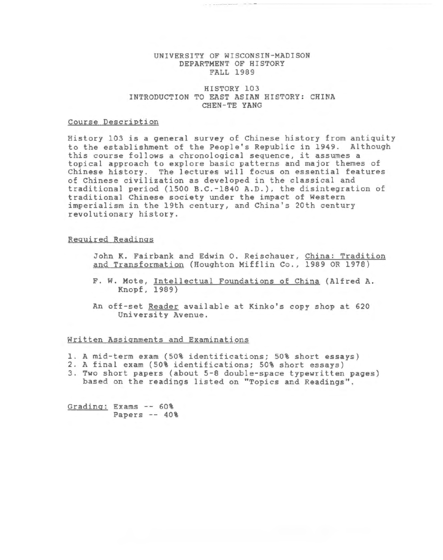# UNIVERSITY OF WISCONSIN-MADISON DEPARTMENT OF HISTORY FALL 1989

# HISTORY 103 INTRODUCTION TO EAST ASIAN HISTORY: CHINA CHEN-TE YANG

# Course Description

History 103 is a general survey of Chinese history from antiquity to the establishment of the People's Republic *in* 1949. Although this course follows a chronological sequence, it assumes a topical approach to explore basic patterns and major themes of Chinese history. The lectures will focus on essential features of Chinese civilization as developed *in* the classical and traditional period (1500 B.C.-1840 A.D.), the disintegration of traditional Chinese society under the impact of Western imperialism *in* the 19th century, and China's 20th century revolutionary history.

## Required Readings

- John K. Fairbank and Edwin 0. Reischauer, China: Tradition and Transformation (Houghton Mifflin Co., 1989 OR 1978)
- F. W. Mote, Intellectual Foundations of China (Alfred A. Knopf, 1989)
- An off-set Reader available at Kinko's copy shop at 620 University Avenue.

## Written Assignments and Examinations

- 1. A mid-term exam (50% identifications; 50% short essays)
- 2. A final exam (50% identifications; 50% short essays)
- 3. Two short papers (about 5-8 double-space typewritten pages) based on the readings listed on ''Topics and Readings".

Grading: Exams -- 60% Papers -- 40%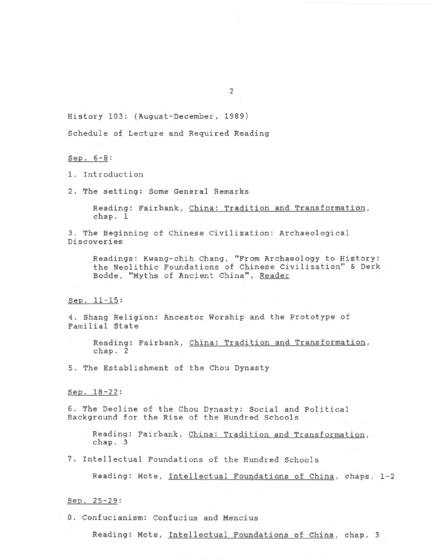History 103: (August-December, 1989)

Schedule of Lecture and Required Reading

Sep. 6-8:

1. Introduction

2. The setting: Some General Remarks

Reading: Fairbank, China: Tradition and Transformation, chap. 1

3. The Beginning of Chinese Civilization: Archaeological Discoveries

Readings: Kwang-chih Chang, "From Archaeology to History: the Neolithic Foundations of Chinese Civilization" & Derk Bodde, "Myths of Ancient China", Reader

# Sep. 11-15:

4. Shang Religion: Ancestor Worship and the Prototype of Familial State

Reading: Fairbank, China: Tradition and Transformation, chap. 2

5. The Establishment of the Chou Dynasty

Sep. 18-22:

6. The Decline of the Chou Dynasty: Social and Political Background for the Rise of the Hundred Schools

Reading: Fairbank, China: Tradition and Transformation, chap. 3

7. Intellectual Foundations of the Hundred Schools

Reading: Mote, Intellectual Foundations of China, chaps. 1-2

Sep. 25-29:

8. Confucianism: Confucius and Mencius

Reading: Mote, Intellectual Foundations of China, chap. 3

2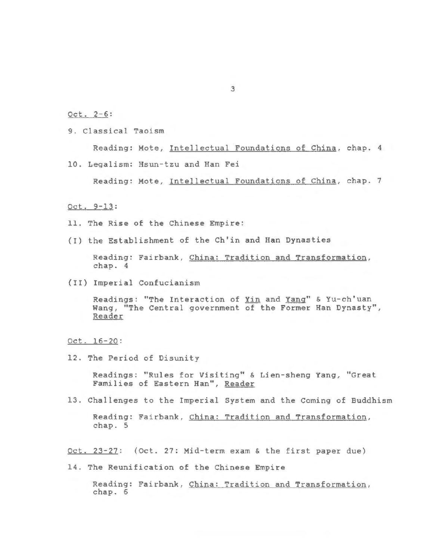Oct. 2-6:

9. Classical Taoism

Reading: Mote, Intellectual Foundations of China, chap. 4

10. Legalism: Hsun-tzu and Han Fei

Reading: Mote, Intellectual Foundations of China, chap. 7

# Oct. 9-13:

- 11 . The Rise of the Chinese Empire:
- (I) the Establishment of the Ch ' in and Han Dynasties

Reading: Fairbank, China: Tradition and Transformation, chap. 4

(II) Imperial Confucianism

Readings: "The Interaction of Yin and Yang" & Yu-ch'uan Wang, "The Central government of the Former Han Dynasty", Reader

#### Oct. 16-20:

12. The Period of Disunity

Readings: "Rules for Visiting" & Lien-sheng Yang, "Great Families of Eastern Han", Reader

13. Challenges to the Imperial System and the Coming of Buddhism

Reading: Fairbank, China: Tradition and Transformation, chap. 5

Oct. 23-27: (Oct. 27: Mid-term exam & the first paper due)

14. The Reunification of the Chinese Empire

Reading: Fairbank, China: Tradition and Transformation, chap. 6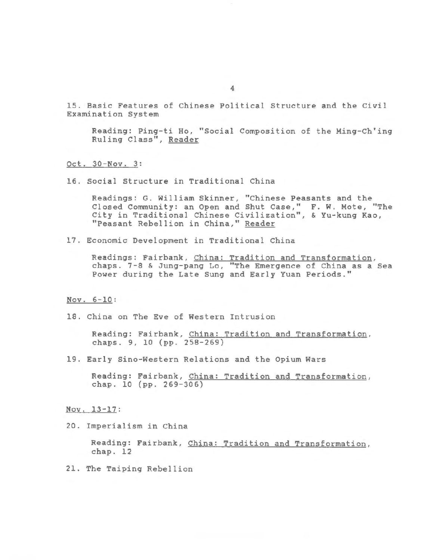15. Basic Features of Chinese Political Structure and the Civil Examination System

Reading: Ping-ti Ho, "Social Composition of the Ming-Ch'ing Ruling Class", Reader

Oct. 30-Nov. 3:

16. Social Structure in Traditional China

Readings: G. William Skinner, "Chinese Peasants and the Closed Community: an Open and Shut Case," F. W. Mote, "The City in Traditional Chinese Civilization", & Yu-kung Kao, "Peasant Rebellion in China," Reader

17. Economic Development in Traditional China

Readings: Fairbank, China: Tradition and Transformation, chaps. 7-8 & Jung-pang Lo, "The Emergence of China as a Sea Power during the Late Sung and Early Yuan Periods."

#### Nov. 6-10:

18. China on The Eve of Western Intrusion

Reading: Fairbank, China: Tradition and Transformation, chaps. 9, 10 (pp. 258-269)

19. Early Sino-Western Relations and the Opium Wars

Reading: Fairbank, China: Tradition and Transformation, chap. 10 (pp. 269-306)

Nov. 13-17:

20. Imperialism in China

Reading: Fairbank, China: Tradition and Transformation, chap. 12

21. The Taiping Rebellion